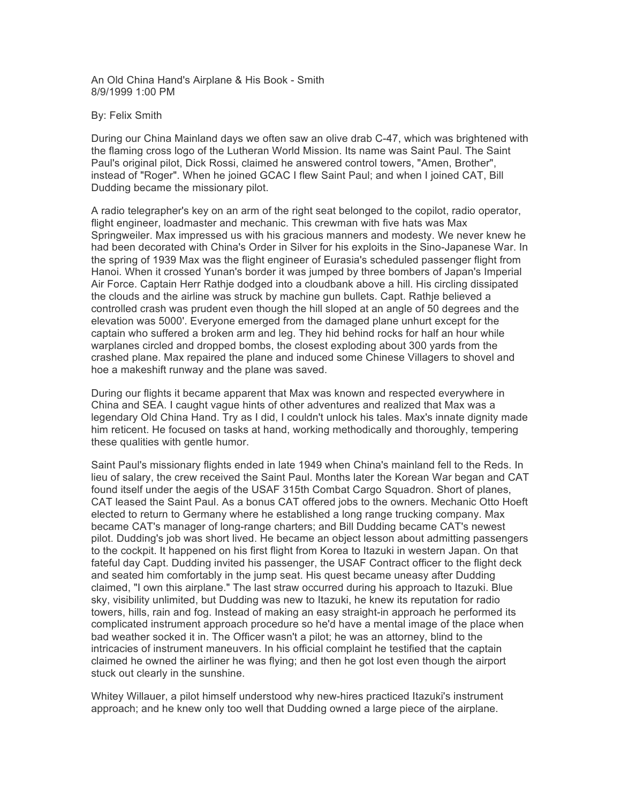An Old China Hand's Airplane & His Book - Smith 8/9/1999 1:00 PM

## By: Felix Smith

During our China Mainland days we often saw an olive drab C-47, which was brightened with the flaming cross logo of the Lutheran World Mission. Its name was Saint Paul. The Saint Paul's original pilot, Dick Rossi, claimed he answered control towers, "Amen, Brother", instead of "Roger". When he joined GCAC I flew Saint Paul; and when I joined CAT, Bill Dudding became the missionary pilot.

A radio telegrapher's key on an arm of the right seat belonged to the copilot, radio operator, flight engineer, loadmaster and mechanic. This crewman with five hats was Max Springweiler. Max impressed us with his gracious manners and modesty. We never knew he had been decorated with China's Order in Silver for his exploits in the Sino-Japanese War. In the spring of 1939 Max was the flight engineer of Eurasia's scheduled passenger flight from Hanoi. When it crossed Yunan's border it was jumped by three bombers of Japan's Imperial Air Force. Captain Herr Rathje dodged into a cloudbank above a hill. His circling dissipated the clouds and the airline was struck by machine gun bullets. Capt. Rathje believed a controlled crash was prudent even though the hill sloped at an angle of 50 degrees and the elevation was 5000'. Everyone emerged from the damaged plane unhurt except for the captain who suffered a broken arm and leg. They hid behind rocks for half an hour while warplanes circled and dropped bombs, the closest exploding about 300 yards from the crashed plane. Max repaired the plane and induced some Chinese Villagers to shovel and hoe a makeshift runway and the plane was saved.

During our flights it became apparent that Max was known and respected everywhere in China and SEA. I caught vague hints of other adventures and realized that Max was a legendary Old China Hand. Try as I did, I couldn't unlock his tales. Max's innate dignity made him reticent. He focused on tasks at hand, working methodically and thoroughly, tempering these qualities with gentle humor.

Saint Paul's missionary flights ended in late 1949 when China's mainland fell to the Reds. In lieu of salary, the crew received the Saint Paul. Months later the Korean War began and CAT found itself under the aegis of the USAF 315th Combat Cargo Squadron. Short of planes, CAT leased the Saint Paul. As a bonus CAT offered jobs to the owners. Mechanic Otto Hoeft elected to return to Germany where he established a long range trucking company. Max became CAT's manager of long-range charters; and Bill Dudding became CAT's newest pilot. Dudding's job was short lived. He became an object lesson about admitting passengers to the cockpit. It happened on his first flight from Korea to Itazuki in western Japan. On that fateful day Capt. Dudding invited his passenger, the USAF Contract officer to the flight deck and seated him comfortably in the jump seat. His quest became uneasy after Dudding claimed, "I own this airplane." The last straw occurred during his approach to Itazuki. Blue sky, visibility unlimited, but Dudding was new to Itazuki, he knew its reputation for radio towers, hills, rain and fog. Instead of making an easy straight-in approach he performed its complicated instrument approach procedure so he'd have a mental image of the place when bad weather socked it in. The Officer wasn't a pilot; he was an attorney, blind to the intricacies of instrument maneuvers. In his official complaint he testified that the captain claimed he owned the airliner he was flying; and then he got lost even though the airport stuck out clearly in the sunshine.

Whitey Willauer, a pilot himself understood why new-hires practiced Itazuki's instrument approach; and he knew only too well that Dudding owned a large piece of the airplane.